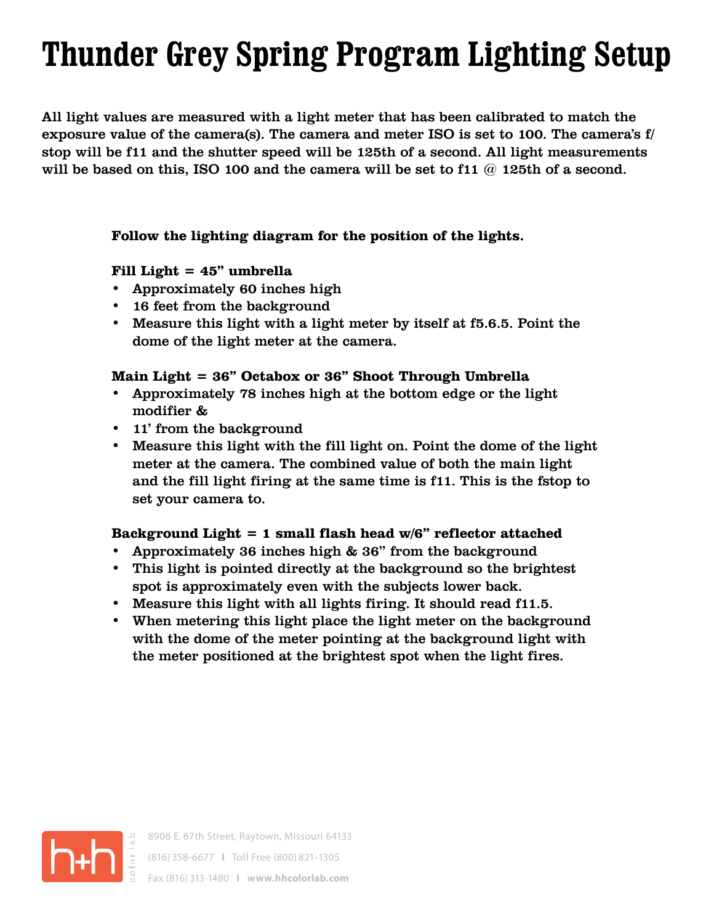# **Thunder Grey Spring Program Lighting Setup**

All light values are measured with a light meter that has been calibrated to match the exposure value of the camera(s). The camera and meter ISO is set to 100. The camera's f/ stop will be f11 and the shutter speed will be 125th of a second. All light measurements will be based on this, ISO 100 and the camera will be set to f11  $@$  125th of a second.

#### **Follow the lighting diagram for the position of the lights.**

## **Fill Light = 45" umbrella**

- Approximately 60 inches high
- 16 feet from the background
- Measure this light with a light meter by itself at f5.6.5. Point the dome of the light meter at the camera.

## **Main Light = 36" Octabox or 36" Shoot Through Umbrella**

- Approximately 78 inches high at the bottom edge or the light modifier &
- 11' from the background
- Measure this light with the fill light on. Point the dome of the light meter at the camera. The combined value of both the main light and the fill light firing at the same time is f11. This is the fstop to set your camera to.

#### **Background Light = 1 small flash head w/6" reflector attached**

- Approximately 36 inches high & 36" from the background
- This light is pointed directly at the background so the brightest spot is approximately even with the subjects lower back.
- Measure this light with all lights firing. It should read f11.5.
- When metering this light place the light meter on the background with the dome of the meter pointing at the background light with the meter positioned at the brightest spot when the light fires.